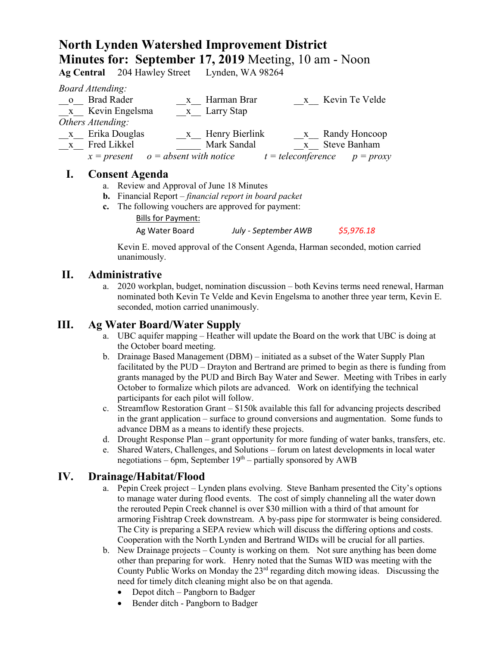# **North Lynden Watershed Improvement District Minutes for: September 17, 2019** Meeting, 10 am - Noon

**Ag Central** 204 Hawley Street Lynden, WA 98264

*Board Attending:*

|              | $D$ var a tierviality.                 |                  |                                  |                  |
|--------------|----------------------------------------|------------------|----------------------------------|------------------|
| $\mathbf{O}$ | <b>Brad Rader</b>                      | Harman Brar      |                                  | x Kevin Te Velde |
|              | x Kevin Engelsma                       | x Larry Stap     |                                  |                  |
|              | Others Attending:                      |                  |                                  |                  |
| $\mathbf{X}$ | Erika Douglas                          | x Henry Bierlink |                                  | x Randy Honcoop  |
| $\mathbf{X}$ | Fred Likkel                            | Mark Sandal      |                                  | x Steve Banham   |
|              | $x = present$ $o = absent$ with notice |                  | $t = teleconference$ $p = proxy$ |                  |
|              |                                        |                  |                                  |                  |

### **I. Consent Agenda**

- a. Review and Approval of June 18 Minutes
- **b.** Financial Report *financial report in board packet*
- **c.** The following vouchers are approved for payment:

Bills for Payment:

Ag Water Board *July - September AWB \$5,976.18*

Kevin E. moved approval of the Consent Agenda, Harman seconded, motion carried unanimously.

# **II. Administrative**

a. 2020 workplan, budget, nomination discussion – both Kevins terms need renewal, Harman nominated both Kevin Te Velde and Kevin Engelsma to another three year term, Kevin E. seconded, motion carried unanimously.

## **III. Ag Water Board/Water Supply**

- a. UBC aquifer mapping Heather will update the Board on the work that UBC is doing at the October board meeting.
- b. Drainage Based Management (DBM) initiated as a subset of the Water Supply Plan facilitated by the PUD – Drayton and Bertrand are primed to begin as there is funding from grants managed by the PUD and Birch Bay Water and Sewer. Meeting with Tribes in early October to formalize which pilots are advanced. Work on identifying the technical participants for each pilot will follow.
- c. Streamflow Restoration Grant \$150k available this fall for advancing projects described in the grant application – surface to ground conversions and augmentation. Some funds to advance DBM as a means to identify these projects.
- d. Drought Response Plan grant opportunity for more funding of water banks, transfers, etc.
- e. Shared Waters, Challenges, and Solutions forum on latest developments in local water negotiations – 6pm, September  $19<sup>th</sup>$  – partially sponsored by AWB

# **IV. Drainage/Habitat/Flood**

- a. Pepin Creek project Lynden plans evolving. Steve Banham presented the City's options to manage water during flood events. The cost of simply channeling all the water down the rerouted Pepin Creek channel is over \$30 million with a third of that amount for armoring Fishtrap Creek downstream. A by-pass pipe for stormwater is being considered. The City is preparing a SEPA review which will discuss the differing options and costs. Cooperation with the North Lynden and Bertrand WIDs will be crucial for all parties.
- b. New Drainage projects County is working on them. Not sure anything has been dome other than preparing for work. Henry noted that the Sumas WID was meeting with the County Public Works on Monday the  $23<sup>rd</sup>$  regarding ditch mowing ideas. Discussing the need for timely ditch cleaning might also be on that agenda.
	- Depot ditch Pangborn to Badger
	- Bender ditch Pangborn to Badger